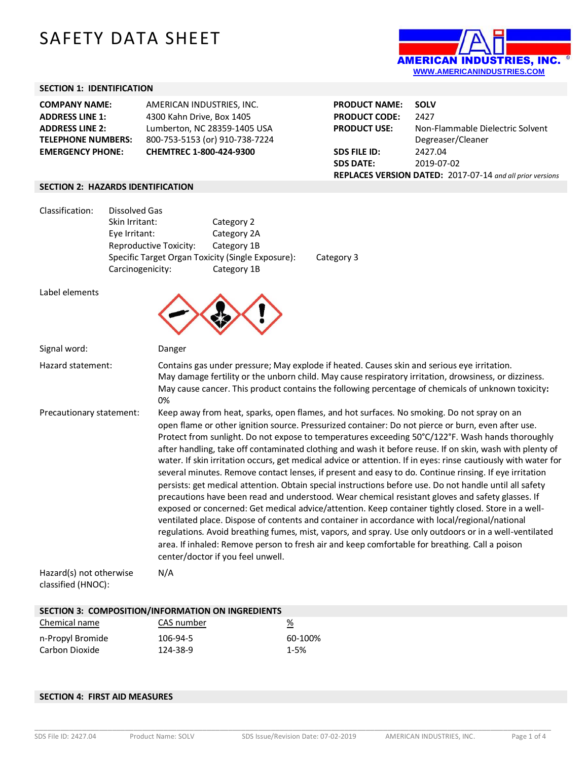# SAFETY DATA SHEET



### **SECTION 1: IDENTIFICATION**

| <b>COMPANY NAME:</b>      | AMERICAN INDUSTRIES, INC.      |  |
|---------------------------|--------------------------------|--|
| <b>ADDRESS LINE 1:</b>    | 4300 Kahn Drive, Box 1405      |  |
| <b>ADDRESS LINE 2:</b>    | Lumberton, NC 28359-1405 USA   |  |
| <b>TELEPHONE NUMBERS:</b> | 800-753-5153 (or) 910-738-7224 |  |
| <b>EMERGENCY PHONE:</b>   | CHEMTREC 1-800-424-9300        |  |
|                           |                                |  |

**PRODUCT NAME: SOLV PRODUCT CODE:** 2427<br>**PRODUCT USE:** Non-I **PRODUCT USE:** Non-Flammable Dielectric Solvent Degreaser/Cleaner **SDS FILE ID:** 2427.04 **SDS DATE:** 2019-07-02 **REPLACES VERSION DATED:** 2017-07-14 *and all prior versions*

#### **SECTION 2: HAZARDS IDENTIFICATION**

| Classification: | Dissolved Gas                                     |             |            |
|-----------------|---------------------------------------------------|-------------|------------|
|                 | Skin Irritant:                                    | Category 2  |            |
|                 | Eye Irritant:                                     | Category 2A |            |
|                 | Reproductive Toxicity:                            | Category 1B |            |
|                 | Specific Target Organ Toxicity (Single Exposure): |             | Category 3 |
|                 | Carcinogenicity:                                  | Category 1B |            |
|                 |                                                   |             |            |

| Label elements                                |                                                                                                                                                                                                                                                                                                                                                                                                                                                                                                                                                                                                                                                                                                                                                                                                                                                                                                                                                                                                                                                                                                                                                                                                                                                                                                                       |
|-----------------------------------------------|-----------------------------------------------------------------------------------------------------------------------------------------------------------------------------------------------------------------------------------------------------------------------------------------------------------------------------------------------------------------------------------------------------------------------------------------------------------------------------------------------------------------------------------------------------------------------------------------------------------------------------------------------------------------------------------------------------------------------------------------------------------------------------------------------------------------------------------------------------------------------------------------------------------------------------------------------------------------------------------------------------------------------------------------------------------------------------------------------------------------------------------------------------------------------------------------------------------------------------------------------------------------------------------------------------------------------|
| Signal word:                                  | Danger                                                                                                                                                                                                                                                                                                                                                                                                                                                                                                                                                                                                                                                                                                                                                                                                                                                                                                                                                                                                                                                                                                                                                                                                                                                                                                                |
| Hazard statement:                             | Contains gas under pressure; May explode if heated. Causes skin and serious eye irritation.<br>May damage fertility or the unborn child. May cause respiratory irritation, drowsiness, or dizziness.<br>May cause cancer. This product contains the following percentage of chemicals of unknown toxicity:<br>0%                                                                                                                                                                                                                                                                                                                                                                                                                                                                                                                                                                                                                                                                                                                                                                                                                                                                                                                                                                                                      |
| Precautionary statement:                      | Keep away from heat, sparks, open flames, and hot surfaces. No smoking. Do not spray on an<br>open flame or other ignition source. Pressurized container: Do not pierce or burn, even after use.<br>Protect from sunlight. Do not expose to temperatures exceeding 50°C/122°F. Wash hands thoroughly<br>after handling, take off contaminated clothing and wash it before reuse. If on skin, wash with plenty of<br>water. If skin irritation occurs, get medical advice or attention. If in eyes: rinse cautiously with water for<br>several minutes. Remove contact lenses, if present and easy to do. Continue rinsing. If eye irritation<br>persists: get medical attention. Obtain special instructions before use. Do not handle until all safety<br>precautions have been read and understood. Wear chemical resistant gloves and safety glasses. If<br>exposed or concerned: Get medical advice/attention. Keep container tightly closed. Store in a well-<br>ventilated place. Dispose of contents and container in accordance with local/regional/national<br>regulations. Avoid breathing fumes, mist, vapors, and spray. Use only outdoors or in a well-ventilated<br>area. If inhaled: Remove person to fresh air and keep comfortable for breathing. Call a poison<br>center/doctor if you feel unwell. |
| Hazard(s) not otherwise<br>classified (HNOC): | N/A                                                                                                                                                                                                                                                                                                                                                                                                                                                                                                                                                                                                                                                                                                                                                                                                                                                                                                                                                                                                                                                                                                                                                                                                                                                                                                                   |

#### **SECTION 3: COMPOSITION/INFORMATION ON INGREDIENTS**

| Chemical name    | CAS number | <u>%</u> |
|------------------|------------|----------|
| n-Propyl Bromide | 106-94-5   | 60-100%  |
| Carbon Dioxide   | 124-38-9   | $1 - 5%$ |

#### **SECTION 4: FIRST AID MEASURES**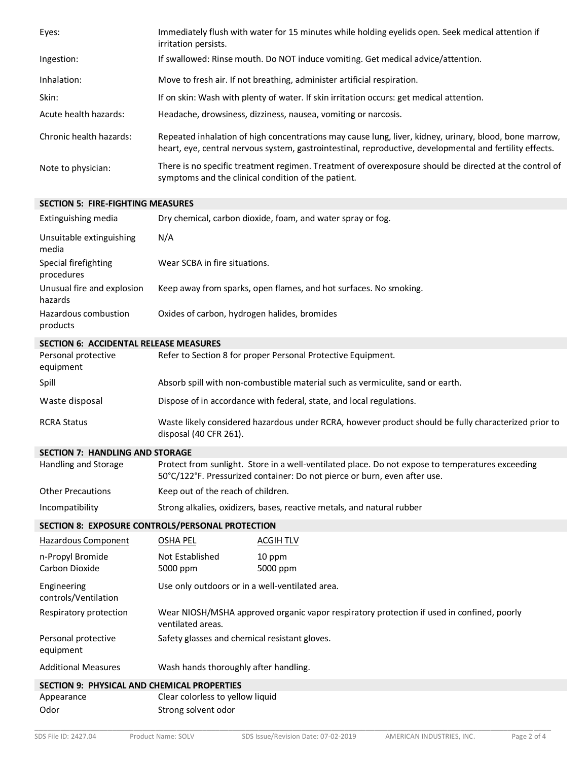| Eyes:                   | Immediately flush with water for 15 minutes while holding eyelids open. Seek medical attention if<br>irritation persists.                                                                                          |
|-------------------------|--------------------------------------------------------------------------------------------------------------------------------------------------------------------------------------------------------------------|
| Ingestion:              | If swallowed: Rinse mouth. Do NOT induce vomiting. Get medical advice/attention.                                                                                                                                   |
| Inhalation:             | Move to fresh air. If not breathing, administer artificial respiration.                                                                                                                                            |
| Skin:                   | If on skin: Wash with plenty of water. If skin irritation occurs: get medical attention.                                                                                                                           |
| Acute health hazards:   | Headache, drowsiness, dizziness, nausea, vomiting or narcosis.                                                                                                                                                     |
| Chronic health hazards: | Repeated inhalation of high concentrations may cause lung, liver, kidney, urinary, blood, bone marrow,<br>heart, eye, central nervous system, gastrointestinal, reproductive, developmental and fertility effects. |
| Note to physician:      | There is no specific treatment regimen. Treatment of overexposure should be directed at the control of<br>symptoms and the clinical condition of the patient.                                                      |

## **SECTION 5: FIRE-FIGHTING MEASURES**

| Extinguishing media                              |                                                                                                                                | Dry chemical, carbon dioxide, foam, and water spray or fog.                                                                                                                   |
|--------------------------------------------------|--------------------------------------------------------------------------------------------------------------------------------|-------------------------------------------------------------------------------------------------------------------------------------------------------------------------------|
| Unsuitable extinguishing<br>media                | N/A                                                                                                                            |                                                                                                                                                                               |
| Special firefighting<br>procedures               | Wear SCBA in fire situations.                                                                                                  |                                                                                                                                                                               |
| Unusual fire and explosion<br>hazards            |                                                                                                                                | Keep away from sparks, open flames, and hot surfaces. No smoking.                                                                                                             |
| Hazardous combustion<br>products                 | Oxides of carbon, hydrogen halides, bromides                                                                                   |                                                                                                                                                                               |
| <b>SECTION 6: ACCIDENTAL RELEASE MEASURES</b>    |                                                                                                                                |                                                                                                                                                                               |
| Personal protective<br>equipment                 |                                                                                                                                | Refer to Section 8 for proper Personal Protective Equipment.                                                                                                                  |
| Spill                                            |                                                                                                                                | Absorb spill with non-combustible material such as vermiculite, sand or earth.                                                                                                |
| Waste disposal                                   |                                                                                                                                | Dispose of in accordance with federal, state, and local regulations.                                                                                                          |
| <b>RCRA Status</b>                               | Waste likely considered hazardous under RCRA, however product should be fully characterized prior to<br>disposal (40 CFR 261). |                                                                                                                                                                               |
| <b>SECTION 7: HANDLING AND STORAGE</b>           |                                                                                                                                |                                                                                                                                                                               |
| Handling and Storage                             |                                                                                                                                | Protect from sunlight. Store in a well-ventilated place. Do not expose to temperatures exceeding<br>50°C/122°F. Pressurized container: Do not pierce or burn, even after use. |
| <b>Other Precautions</b>                         | Keep out of the reach of children.                                                                                             |                                                                                                                                                                               |
| Incompatibility                                  |                                                                                                                                | Strong alkalies, oxidizers, bases, reactive metals, and natural rubber                                                                                                        |
| SECTION 8: EXPOSURE CONTROLS/PERSONAL PROTECTION |                                                                                                                                |                                                                                                                                                                               |
| <b>Hazardous Component</b>                       | <u>OSHA PEL</u>                                                                                                                | <b>ACGIH TLV</b>                                                                                                                                                              |
| n-Propyl Bromide                                 | Not Established                                                                                                                | 10 ppm                                                                                                                                                                        |
| Carbon Dioxide                                   | 5000 ppm                                                                                                                       | 5000 ppm                                                                                                                                                                      |
| Engineering<br>controls/Ventilation              | Use only outdoors or in a well-ventilated area.                                                                                |                                                                                                                                                                               |
| Respiratory protection                           | Wear NIOSH/MSHA approved organic vapor respiratory protection if used in confined, poorly<br>ventilated areas.                 |                                                                                                                                                                               |
| Personal protective<br>equipment                 | Safety glasses and chemical resistant gloves.                                                                                  |                                                                                                                                                                               |
| <b>Additional Measures</b>                       | Wash hands thoroughly after handling.                                                                                          |                                                                                                                                                                               |
| SECTION 9: PHYSICAL AND CHEMICAL PROPERTIES      |                                                                                                                                |                                                                                                                                                                               |
| Appearance                                       | Clear colorless to yellow liquid                                                                                               |                                                                                                                                                                               |
| Odor                                             | Strong solvent odor                                                                                                            |                                                                                                                                                                               |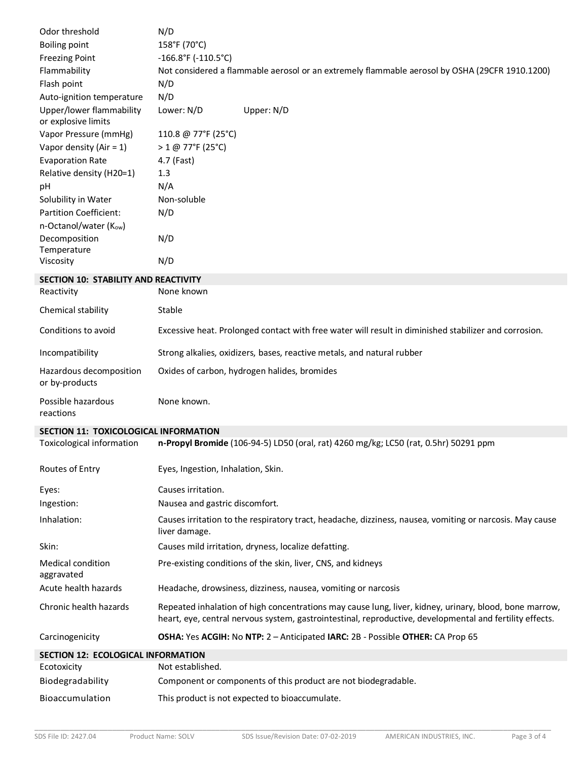| Odor threshold                                              | N/D                                                                                                                                                                                                                |
|-------------------------------------------------------------|--------------------------------------------------------------------------------------------------------------------------------------------------------------------------------------------------------------------|
| <b>Boiling point</b>                                        | 158°F (70°C)                                                                                                                                                                                                       |
| <b>Freezing Point</b>                                       | $-166.8$ °F (-110.5°C)                                                                                                                                                                                             |
| Flammability                                                | Not considered a flammable aerosol or an extremely flammable aerosol by OSHA (29CFR 1910.1200)                                                                                                                     |
| Flash point                                                 | N/D                                                                                                                                                                                                                |
| Auto-ignition temperature                                   | N/D                                                                                                                                                                                                                |
| Upper/lower flammability<br>or explosive limits             | Lower: N/D<br>Upper: N/D                                                                                                                                                                                           |
| Vapor Pressure (mmHg)                                       | 110.8 @ 77°F (25°C)                                                                                                                                                                                                |
| Vapor density (Air = $1$ )                                  | > 1 @ 77°F (25°C)                                                                                                                                                                                                  |
| <b>Evaporation Rate</b>                                     | 4.7 (Fast)                                                                                                                                                                                                         |
| Relative density (H20=1)                                    | 1.3                                                                                                                                                                                                                |
| pH                                                          | N/A                                                                                                                                                                                                                |
| Solubility in Water                                         | Non-soluble                                                                                                                                                                                                        |
| <b>Partition Coefficient:</b><br>n-Octanol/water $(K_{ow})$ | N/D                                                                                                                                                                                                                |
| Decomposition                                               | N/D                                                                                                                                                                                                                |
| Temperature<br>Viscosity                                    | N/D                                                                                                                                                                                                                |
| <b>SECTION 10: STABILITY AND REACTIVITY</b>                 |                                                                                                                                                                                                                    |
| Reactivity                                                  | None known                                                                                                                                                                                                         |
| Chemical stability                                          | Stable                                                                                                                                                                                                             |
| Conditions to avoid                                         | Excessive heat. Prolonged contact with free water will result in diminished stabilizer and corrosion.                                                                                                              |
| Incompatibility                                             | Strong alkalies, oxidizers, bases, reactive metals, and natural rubber                                                                                                                                             |
| Hazardous decomposition<br>or by-products                   | Oxides of carbon, hydrogen halides, bromides                                                                                                                                                                       |
| Possible hazardous<br>reactions                             | None known.                                                                                                                                                                                                        |
| <b>SECTION 11: TOXICOLOGICAL INFORMATION</b>                |                                                                                                                                                                                                                    |
| <b>Toxicological information</b>                            | n-Propyl Bromide (106-94-5) LD50 (oral, rat) 4260 mg/kg; LC50 (rat, 0.5hr) 50291 ppm                                                                                                                               |
| Routes of Entry                                             | Eyes, Ingestion, Inhalation, Skin.                                                                                                                                                                                 |
|                                                             |                                                                                                                                                                                                                    |
| Eyes:                                                       | Causes irritation.                                                                                                                                                                                                 |
| Ingestion:                                                  | Nausea and gastric discomfort.                                                                                                                                                                                     |
| Inhalation:                                                 | Causes irritation to the respiratory tract, headache, dizziness, nausea, vomiting or narcosis. May cause<br>liver damage.                                                                                          |
| Skin:                                                       | Causes mild irritation, dryness, localize defatting.                                                                                                                                                               |
| <b>Medical condition</b>                                    | Pre-existing conditions of the skin, liver, CNS, and kidneys                                                                                                                                                       |
| aggravated<br>Acute health hazards                          | Headache, drowsiness, dizziness, nausea, vomiting or narcosis                                                                                                                                                      |
| Chronic health hazards                                      | Repeated inhalation of high concentrations may cause lung, liver, kidney, urinary, blood, bone marrow,<br>heart, eye, central nervous system, gastrointestinal, reproductive, developmental and fertility effects. |
| Carcinogenicity                                             | OSHA: Yes ACGIH: No NTP: 2 - Anticipated IARC: 2B - Possible OTHER: CA Prop 65                                                                                                                                     |
| <b>SECTION 12: ECOLOGICAL INFORMATION</b>                   |                                                                                                                                                                                                                    |
| Ecotoxicity                                                 | Not established.                                                                                                                                                                                                   |
| Biodegradability                                            | Component or components of this product are not biodegradable.                                                                                                                                                     |
| Bioaccumulation                                             | This product is not expected to bioaccumulate.                                                                                                                                                                     |